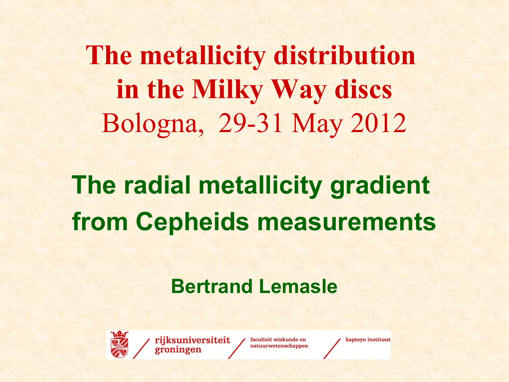**The metallicity distribution in the Milky Way discs** Bologna, 29-31 May 2012

**The radial metallicity gradient from Cepheids measurements**

#### **Bertrand Lemasle**



rijksuniversiteit<br>groningen

faculteit wiskunde en natuurwetenschappen kaptevn instituut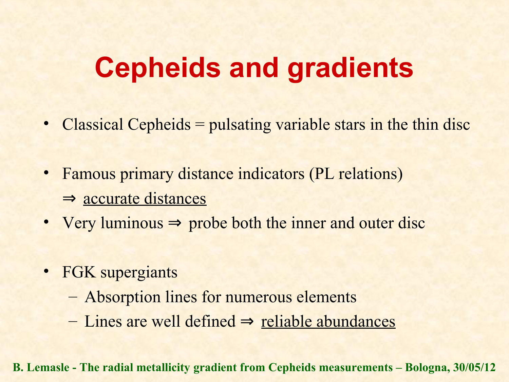#### **Cepheids and gradients**

- Classical Cepheids = pulsating variable stars in the thin disc
- Famous primary distance indicators (PL relations) ⇒ accurate distances
- Very luminous  $\Rightarrow$  probe both the inner and outer disc
- FGK supergiants
	- Absorption lines for numerous elements
	- Lines are well defined ⇒ reliable abundances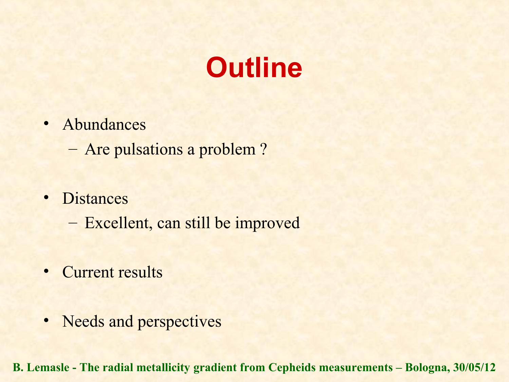#### **Outline**

- Abundances
	- Are pulsations a problem ?
- Distances
	- Excellent, can still be improved
- Current results
- Needs and perspectives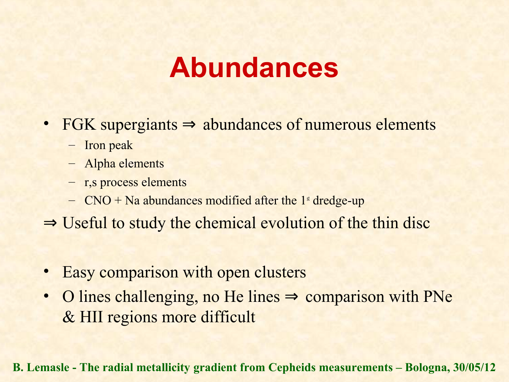#### **Abundances**

- FGK supergiants  $\Rightarrow$  abundances of numerous elements
	- Iron peak
	- Alpha elements
	- r,s process elements
	- $CNO + Na$  abundances modified after the  $1<sup>s</sup>$  dredge-up
- ⇒Useful to study the chemical evolution of the thin disc
- Easy comparison with open clusters
- O lines challenging, no He lines ⇒ comparison with PNe & HII regions more difficult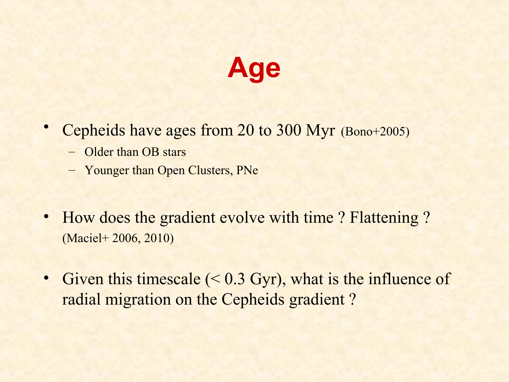

- Cepheids have ages from 20 to 300 Myr (Bono+2005)
	- Older than OB stars
	- Younger than Open Clusters, PNe
- How does the gradient evolve with time? Flattening? (Maciel+ 2006, 2010)
- Given this timescale (< 0.3 Gyr), what is the influence of radial migration on the Cepheids gradient ?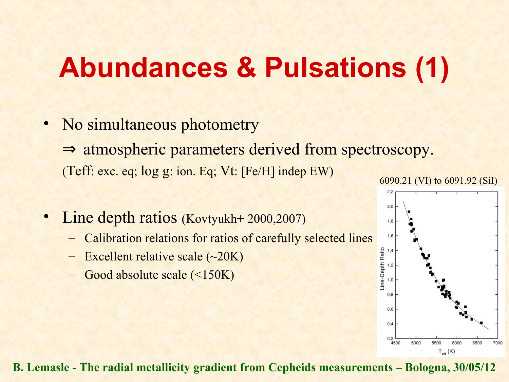## **Abundances & Pulsations (1)**

- No simultaneous photometry ⇒ atmospheric parameters derived from spectroscopy. (Teff: exc. eq; log g: ion. Eq; Vt: [Fe/H] indep EW)
- Line depth ratios (Kovtyukh+ 2000,2007)
	- Calibration relations for ratios of carefully selected lines
	- Excellent relative scale  $(\sim 20K)$
	- Good absolute scale (<150K)

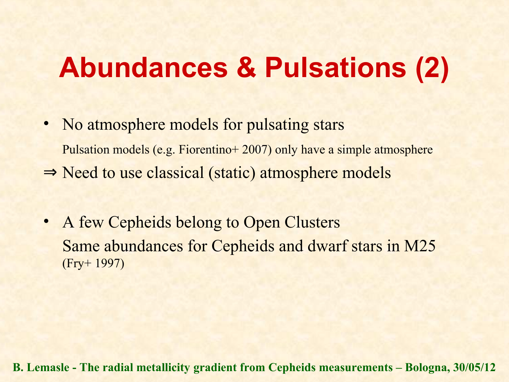## **Abundances & Pulsations (2)**

- No atmosphere models for pulsating stars Pulsation models (e.g. Fiorentino+ 2007) only have a simple atmosphere ⇒Need to use classical (static) atmosphere models
- A few Cepheids belong to Open Clusters Same abundances for Cepheids and dwarf stars in M25 (Fry+ 1997)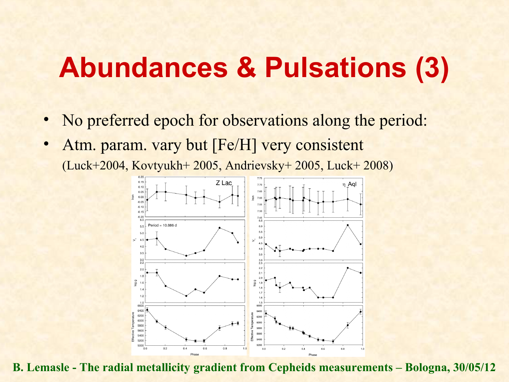### **Abundances & Pulsations (3)**

- No preferred epoch for observations along the period:
- Atm. param. vary but [Fe/H] very consistent (Luck+2004, Kovtyukh+ 2005, Andrievsky+ 2005, Luck+ 2008)

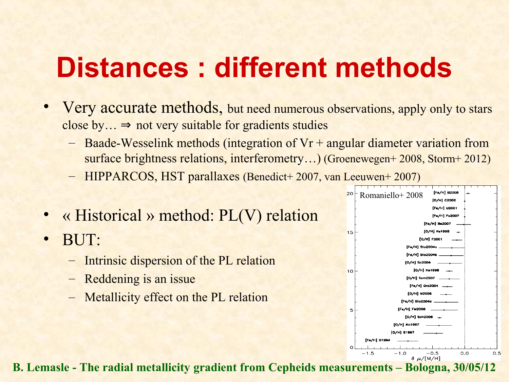## **Distances : different methods**

- Very accurate methods, but need numerous observations, apply only to stars close by...  $\Rightarrow$  not very suitable for gradients studies
	- Baade-Wesselink methods (integration of Vr + angular diameter variation from surface brightness relations, interferometry…) (Groenewegen+ 2008, Storm+ 2012)
	- HIPPARCOS, HST parallaxes (Benedict+ 2007, van Leeuwen+ 2007)
- « Historical » method: PL(V) relation
- BUT:
	- Intrinsic dispersion of the PL relation
	- Reddening is an issue
	- Metallicity effect on the PL relation

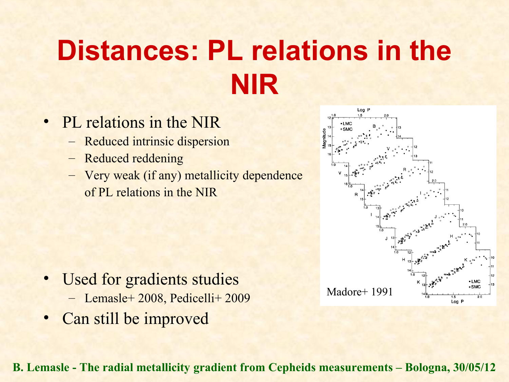# **Distances: PL relations in the NIR**

- PL relations in the NIR
	- Reduced intrinsic dispersion
	- Reduced reddening
	- Very weak (if any) metallicity dependence of PL relations in the NIR

- Used for gradients studies
	- Lemasle+ 2008, Pedicelli+ 2009
- Can still be improved

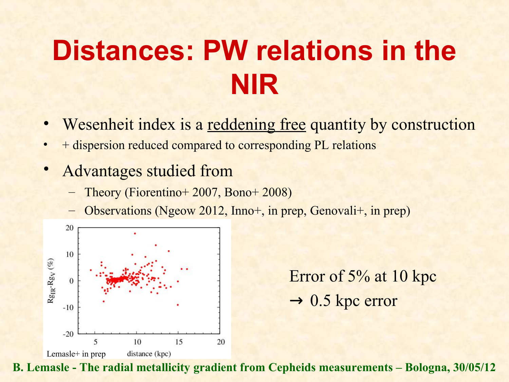# **Distances: PW relations in the NIR**

- Wesenheit index is a reddening free quantity by construction
- + dispersion reduced compared to corresponding PL relations
- Advantages studied from
	- Theory (Fiorentino+ 2007, Bono+ 2008)
	- Observations (Ngeow 2012, Inno+, in prep, Genovali+, in prep)



Error of 5% at 10 kpc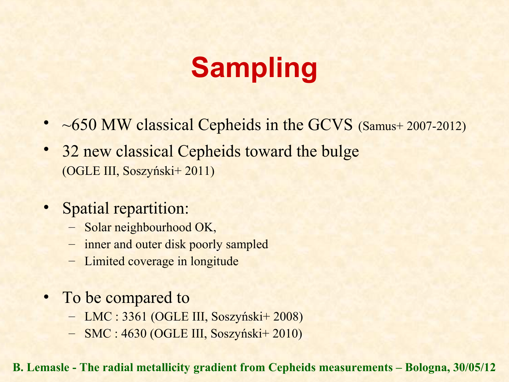# **Sampling**

- ~650 MW classical Cepheids in the GCVS (Samus+ 2007-2012)
- 32 new classical Cepheids toward the bulge (OGLE III, Soszyński+ 2011)
- Spatial repartition:
	- Solar neighbourhood OK,
	- inner and outer disk poorly sampled
	- Limited coverage in longitude
- To be compared to
	- LMC : 3361 (OGLE III, Soszyński+ 2008)
	- SMC : 4630 (OGLE III, Soszyński+ 2010)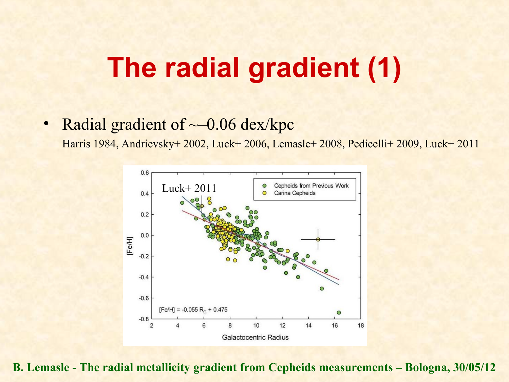### **The radial gradient (1)**

• Radial gradient of  $\sim 0.06$  dex/kpc

Harris 1984, Andrievsky+ 2002, Luck+ 2006, Lemasle+ 2008, Pedicelli+ 2009, Luck+ 2011

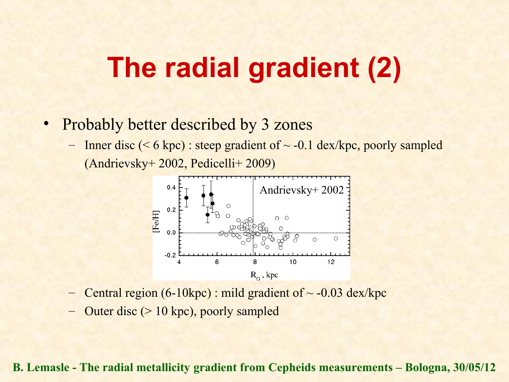#### **The radial gradient (2)**

#### • Probably better described by 3 zones

– Inner disc ( $\leq 6$  kpc) : steep gradient of  $\sim$  -0.1 dex/kpc, poorly sampled (Andrievsky+ 2002, Pedicelli+ 2009)



- Central region  $(6-10kpc)$ : mild gradient of  $\sim$  -0.03 dex/kpc
- Outer disc  $(> 10 \text{ kpc})$ , poorly sampled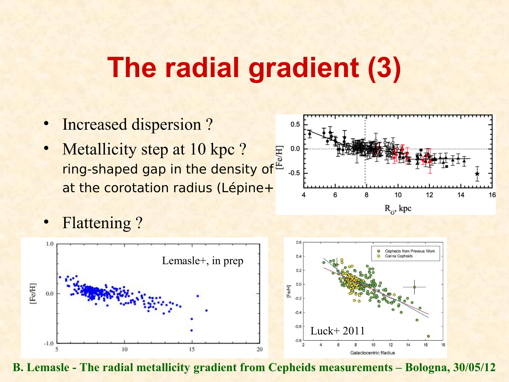#### **The radial gradient (3)**

- Increased dispersion ?
- Metallicity step at 10 kpc? ring-shaped gap in the density of  $E_{10.5}$ at the corotation radius (Lépine+



• Flattening ?

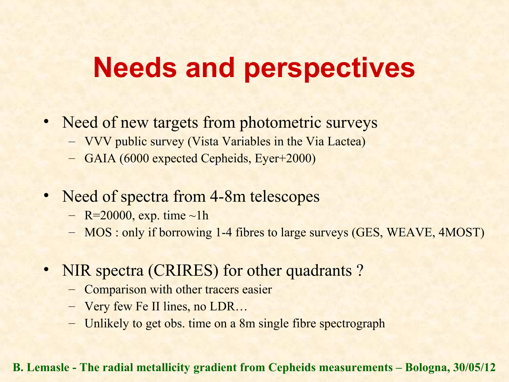#### **Needs and perspectives**

- Need of new targets from photometric surveys
	- VVV public survey (Vista Variables in the Via Lactea)
	- GAIA (6000 expected Cepheids, Eyer+2000)
- Need of spectra from 4-8m telescopes
	- $-$  R=20000, exp. time ~1h
	- MOS : only if borrowing 1-4 fibres to large surveys (GES, WEAVE, 4MOST)
- NIR spectra (CRIRES) for other quadrants?
	- Comparison with other tracers easier
	- Very few Fe II lines, no LDR…
	- Unlikely to get obs. time on a 8m single fibre spectrograph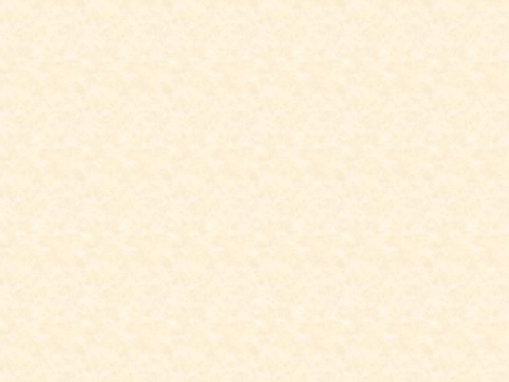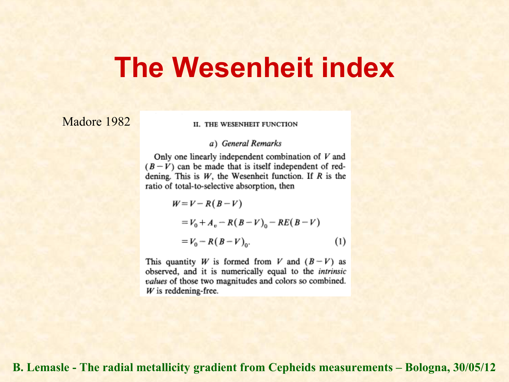#### **The Wesenheit index**

#### Madore 1982

#### II. THE WESENHEIT FUNCTION

#### a) General Remarks

Only one linearly independent combination of  $V$  and  $(B-V)$  can be made that is itself independent of reddening. This is  $W$ , the Wesenheit function. If  $R$  is the ratio of total-to-selective absorption, then

> $W = V - R(B - V)$  $=V_0 + A_v - R(B-V)_{0} - RE(B-V)$  $=V_0 - R(B-V)_{0}$ .  $(1)$

This quantity W is formed from V and  $(B-V)$  as observed, and it is numerically equal to the intrinsic values of those two magnitudes and colors so combined.  $W$  is reddening-free.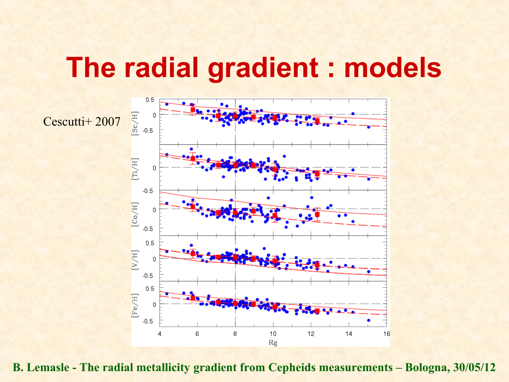#### **The radial gradient : models**